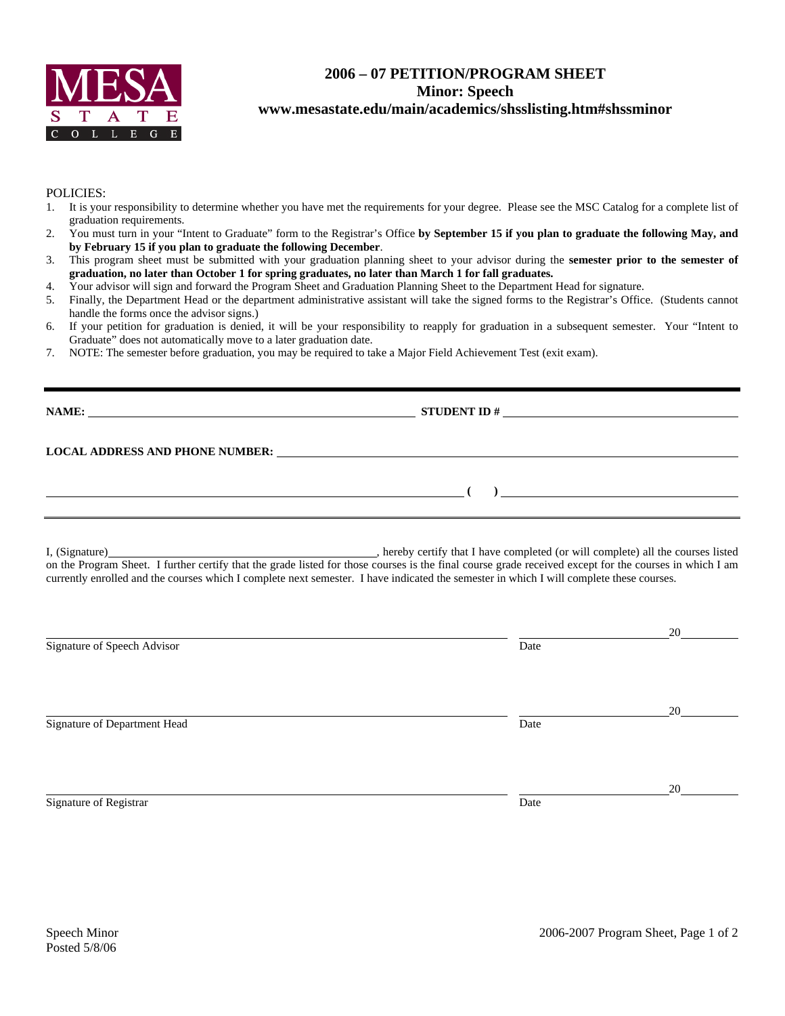

## **2006 – 07 PETITION/PROGRAM SHEET Minor: Speech www.mesastate.edu/main/academics/shsslisting.htm#shssminor**

## POLICIES:

- 1. It is your responsibility to determine whether you have met the requirements for your degree. Please see the MSC Catalog for a complete list of graduation requirements.
- 2. You must turn in your "Intent to Graduate" form to the Registrar's Office **by September 15 if you plan to graduate the following May, and by February 15 if you plan to graduate the following December**.
- 3. This program sheet must be submitted with your graduation planning sheet to your advisor during the **semester prior to the semester of graduation, no later than October 1 for spring graduates, no later than March 1 for fall graduates.**
- 4. Your advisor will sign and forward the Program Sheet and Graduation Planning Sheet to the Department Head for signature.
- 5. Finally, the Department Head or the department administrative assistant will take the signed forms to the Registrar's Office. (Students cannot handle the forms once the advisor signs.)
- 6. If your petition for graduation is denied, it will be your responsibility to reapply for graduation in a subsequent semester. Your "Intent to Graduate" does not automatically move to a later graduation date.
- 7. NOTE: The semester before graduation, you may be required to take a Major Field Achievement Test (exit exam).

| NAME:                                  | <b>STUDENT ID#</b><br>the contract of the contract of the contract of the contract of the contract of the contract of the contract of |
|----------------------------------------|---------------------------------------------------------------------------------------------------------------------------------------|
| <b>LOCAL ADDRESS AND PHONE NUMBER:</b> |                                                                                                                                       |
|                                        |                                                                                                                                       |

I, (Signature) , hereby certify that I have completed (or will complete) all the courses listed on the Program Sheet. I further certify that the grade listed for those courses is the final course grade received except for the courses in which I am currently enrolled and the courses which I complete next semester. I have indicated the semester in which I will complete these courses.

|                              |      | 20 |
|------------------------------|------|----|
| Signature of Speech Advisor  | Date |    |
|                              |      |    |
|                              |      |    |
|                              |      | 20 |
| Signature of Department Head | Date |    |
|                              |      |    |
|                              |      |    |
|                              |      | 20 |
| Signature of Registrar       | Date |    |
|                              |      |    |